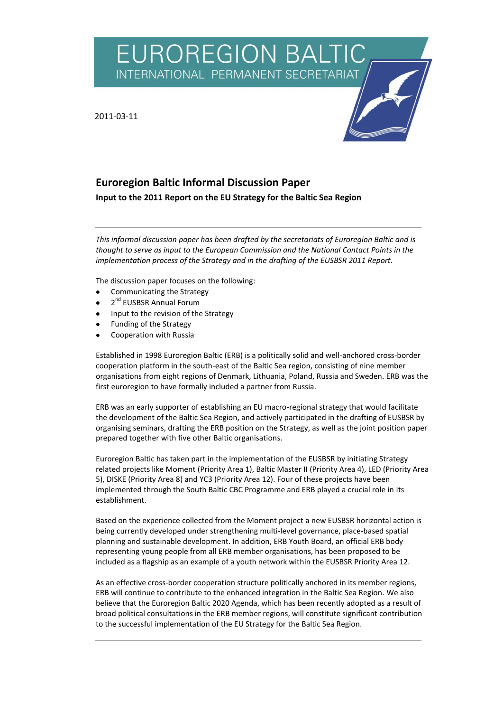**EUROREGION BALTI** INTERNATIONAL PERMANENT SECRETARIAT

2011-03-11



# **Euroregion Baltic Informal Discussion Paper**

**Input to the 2011 Report on the EU Strategy for the Baltic Sea Region**

*This informal discussion paper has been drafted by the secretariats of Euroregion Baltic and is thought to serve as input to the European Commission and the National Contact Points in the implementation process of the Strategy and in the drafting of the EUSBSR 2011 Report.* 

The discussion paper focuses on the following:

- Communicating the Strategy
- 2<sup>nd</sup> EUSBSR Annual Forum
- Input to the revision of the Strategy
- Funding of the Strategy
- Cooperation with Russia

Established in 1998 Euroregion Baltic (ERB) is a politically solid and well-anchored cross-border cooperation platform in the south-east of the Baltic Sea region, consisting of nine member organisations from eight regions of Denmark, Lithuania, Poland, Russia and Sweden. ERB was the first euroregion to have formally included a partner from Russia.

ERB was an early supporter of establishing an EU macro-regional strategy that would facilitate the development of the Baltic Sea Region, and actively participated in the drafting of EUSBSR by organising seminars, drafting the ERB position on the Strategy, as well as the joint position paper prepared together with five other Baltic organisations.

Euroregion Baltic has taken part in the implementation of the EUSBSR by initiating Strategy related projects like Moment (Priority Area 1), Baltic Master II (Priority Area 4), LED (Priority Area 5), DISKE (Priority Area 8) and YC3 (Priority Area 12). Four of these projects have been implemented through the South Baltic CBC Programme and ERB played a crucial role in its establishment.

Based on the experience collected from the Moment project a new EUSBSR horizontal action is being currently developed under strengthening multi-level governance, place-based spatial planning and sustainable development. In addition, ERB Youth Board, an official ERB body representing young people from all ERB member organisations, has been proposed to be included as a flagship as an example of a youth network within the EUSBSR Priority Area 12.

As an effective cross-border cooperation structure politically anchored in its member regions, ERB will continue to contribute to the enhanced integration in the Baltic Sea Region. We also believe that the Euroregion Baltic 2020 Agenda, which has been recently adopted as a result of broad political consultations in the ERB member regions, will constitute significant contribution to the successful implementation of the EU Strategy for the Baltic Sea Region.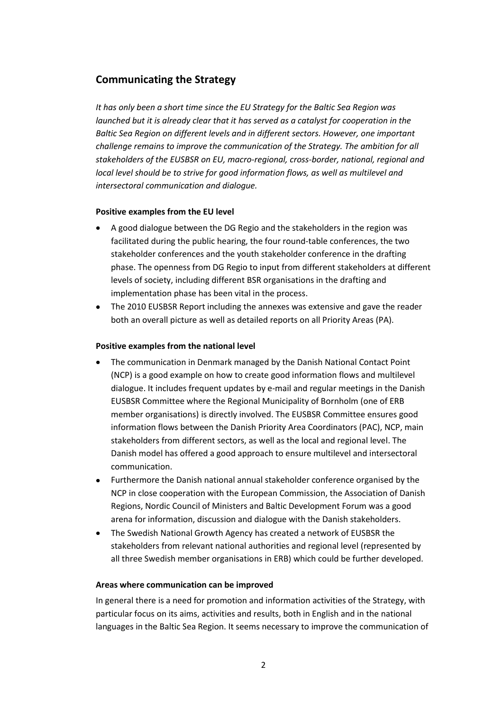## **Communicating the Strategy**

*It has only been a short time since the EU Strategy for the Baltic Sea Region was launched but it is already clear that it has served as a catalyst for cooperation in the Baltic Sea Region on different levels and in different sectors. However, one important challenge remains to improve the communication of the Strategy. The ambition for all stakeholders of the EUSBSR on EU, macro-regional, cross-border, national, regional and local level should be to strive for good information flows, as well as multilevel and intersectoral communication and dialogue.*

### **Positive examples from the EU level**

- A good dialogue between the DG Regio and the stakeholders in the region was facilitated during the public hearing, the four round-table conferences, the two stakeholder conferences and the youth stakeholder conference in the drafting phase. The openness from DG Regio to input from different stakeholders at different levels of society, including different BSR organisations in the drafting and implementation phase has been vital in the process.
- The 2010 EUSBSR Report including the annexes was extensive and gave the reader both an overall picture as well as detailed reports on all Priority Areas (PA).

### **Positive examples from the national level**

- The communication in Denmark managed by the Danish National Contact Point (NCP) is a good example on how to create good information flows and multilevel dialogue. It includes frequent updates by e-mail and regular meetings in the Danish EUSBSR Committee where the Regional Municipality of Bornholm (one of ERB member organisations) is directly involved. The EUSBSR Committee ensures good information flows between the Danish Priority Area Coordinators (PAC), NCP, main stakeholders from different sectors, as well as the local and regional level. The Danish model has offered a good approach to ensure multilevel and intersectoral communication.
- Furthermore the Danish national annual stakeholder conference organised by the NCP in close cooperation with the European Commission, the Association of Danish Regions, Nordic Council of Ministers and Baltic Development Forum was a good arena for information, discussion and dialogue with the Danish stakeholders.
- The Swedish National Growth Agency has created a network of EUSBSR the  $\bullet$ stakeholders from relevant national authorities and regional level (represented by all three Swedish member organisations in ERB) which could be further developed.

### **Areas where communication can be improved**

In general there is a need for promotion and information activities of the Strategy, with particular focus on its aims, activities and results, both in English and in the national languages in the Baltic Sea Region. It seems necessary to improve the communication of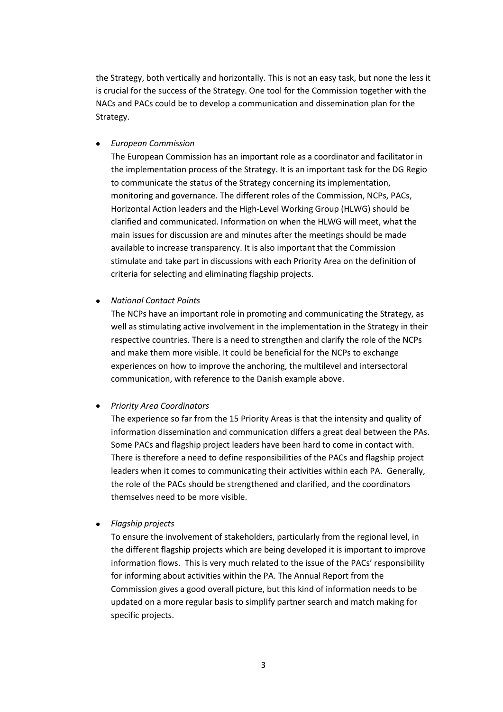the Strategy, both vertically and horizontally. This is not an easy task, but none the less it is crucial for the success of the Strategy. One tool for the Commission together with the NACs and PACs could be to develop a communication and dissemination plan for the Strategy.

#### *European Commission*  $\bullet$

The European Commission has an important role as a coordinator and facilitator in the implementation process of the Strategy. It is an important task for the DG Regio to communicate the status of the Strategy concerning its implementation, monitoring and governance. The different roles of the Commission, NCPs, PACs, Horizontal Action leaders and the High-Level Working Group (HLWG) should be clarified and communicated. Information on when the HLWG will meet, what the main issues for discussion are and minutes after the meetings should be made available to increase transparency. It is also important that the Commission stimulate and take part in discussions with each Priority Area on the definition of criteria for selecting and eliminating flagship projects.

#### *National Contact Points*  $\bullet$

The NCPs have an important role in promoting and communicating the Strategy, as well as stimulating active involvement in the implementation in the Strategy in their respective countries. There is a need to strengthen and clarify the role of the NCPs and make them more visible. It could be beneficial for the NCPs to exchange experiences on how to improve the anchoring, the multilevel and intersectoral communication, with reference to the Danish example above.

#### *Priority Area Coordinators*  $\bullet$

The experience so far from the 15 Priority Areas is that the intensity and quality of information dissemination and communication differs a great deal between the PAs. Some PACs and flagship project leaders have been hard to come in contact with. There is therefore a need to define responsibilities of the PACs and flagship project leaders when it comes to communicating their activities within each PA. Generally, the role of the PACs should be strengthened and clarified, and the coordinators themselves need to be more visible.

#### $\bullet$ *Flagship projects*

To ensure the involvement of stakeholders, particularly from the regional level, in the different flagship projects which are being developed it is important to improve information flows. This is very much related to the issue of the PACs' responsibility for informing about activities within the PA. The Annual Report from the Commission gives a good overall picture, but this kind of information needs to be updated on a more regular basis to simplify partner search and match making for specific projects.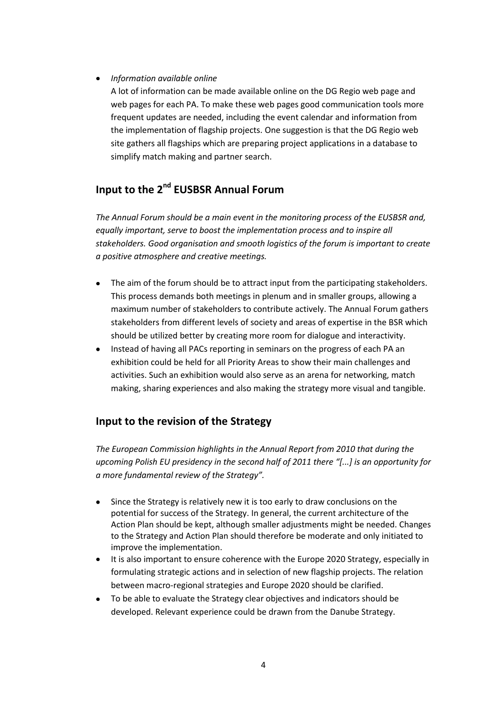#### $\bullet$ *Information available online*

A lot of information can be made available online on the DG Regio web page and web pages for each PA. To make these web pages good communication tools more frequent updates are needed, including the event calendar and information from the implementation of flagship projects. One suggestion is that the DG Regio web site gathers all flagships which are preparing project applications in a database to simplify match making and partner search.

# Input to the 2<sup>nd</sup> EUSBSR Annual Forum

*The Annual Forum should be a main event in the monitoring process of the EUSBSR and, equally important, serve to boost the implementation process and to inspire all stakeholders. Good organisation and smooth logistics of the forum is important to create a positive atmosphere and creative meetings.* 

- The aim of the forum should be to attract input from the participating stakeholders. This process demands both meetings in plenum and in smaller groups, allowing a maximum number of stakeholders to contribute actively. The Annual Forum gathers stakeholders from different levels of society and areas of expertise in the BSR which should be utilized better by creating more room for dialogue and interactivity.
- Instead of having all PACs reporting in seminars on the progress of each PA an  $\bullet$ exhibition could be held for all Priority Areas to show their main challenges and activities. Such an exhibition would also serve as an arena for networking, match making, sharing experiences and also making the strategy more visual and tangible.

## **Input to the revision of the Strategy**

*The European Commission highlights in the Annual Report from 2010 that during the upcoming Polish EU presidency in the second half of 2011 there "[...] is an opportunity for a more fundamental review of the Strategy".*

- Since the Strategy is relatively new it is too early to draw conclusions on the  $\bullet$ potential for success of the Strategy. In general, the current architecture of the Action Plan should be kept, although smaller adjustments might be needed. Changes to the Strategy and Action Plan should therefore be moderate and only initiated to improve the implementation.
- It is also important to ensure coherence with the Europe 2020 Strategy, especially in formulating strategic actions and in selection of new flagship projects. The relation between macro-regional strategies and Europe 2020 should be clarified.
- To be able to evaluate the Strategy clear objectives and indicators should be developed. Relevant experience could be drawn from the Danube Strategy.